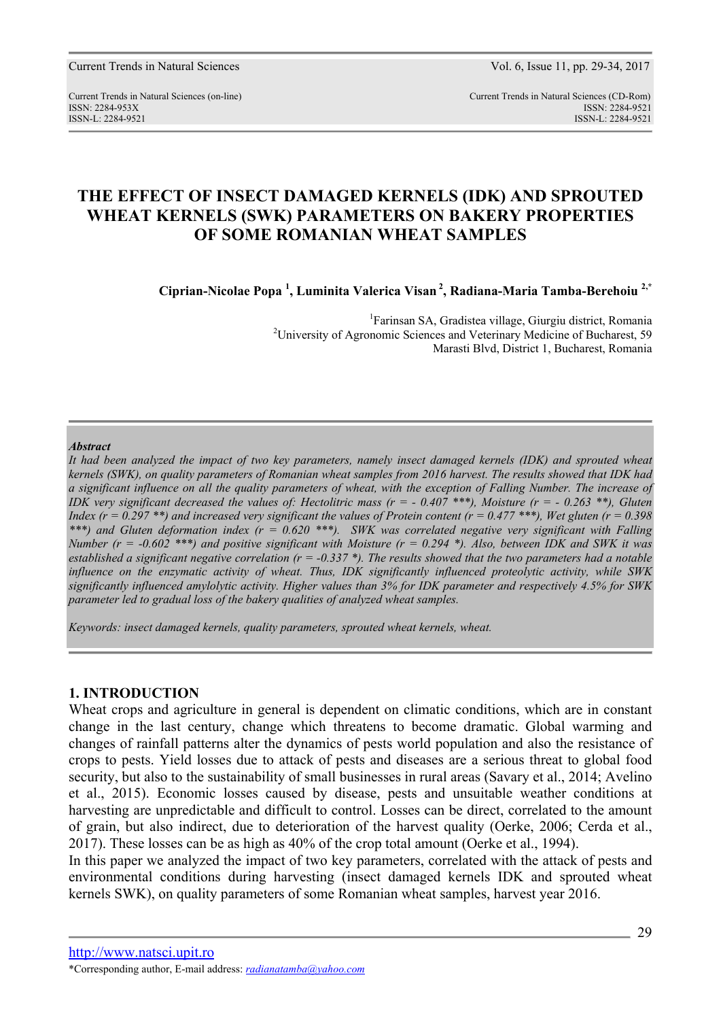Current Trends in Natural Sciences Vol. 6, Issue 11, pp. 29-34, 2017

Current Trends in Natural Sciences (on-line) Current Trends in Natural Sciences (CD-Rom) ISSN: 2284-953XISSN: 2284-9521 ISSN-L: 2284-9521 ISSN-L: 2284-9521

# **THE EFFECT OF INSECT DAMAGED KERNELS (IDK) AND SPROUTED WHEAT KERNELS (SWK) PARAMETERS ON BAKERY PROPERTIES OF SOME ROMANIAN WHEAT SAMPLES**

**Ciprian-Nicolae Popa <sup>1</sup> , Luminita Valerica Visan<sup>2</sup>, Radiana-Maria Tamba-Berehoiu 2,\*** 

1 Farinsan SA, Gradistea village, Giurgiu district, Romania <sup>2</sup>University of Agronomic Sciences and Veterinary Medicine of Bucharest, 59 Marasti Blvd, District 1, Bucharest, Romania

#### *Abstract*

*It had been analyzed the impact of two key parameters, namely insect damaged kernels (IDK) and sprouted wheat kernels (SWK), on quality parameters of Romanian wheat samples from 2016 harvest. The results showed that IDK had a significant influence on all the quality parameters of wheat, with the exception of Falling Number. The increase of IDK very significant decreased the values of: Hectolitric mass (r =*  $-0.407$  *\*\*\*), Moisture (r =*  $-0.263$  *\*\*), Gluten Index (r = 0.297 \*\*) and increased very significant the values of Protein content (r = 0.477 \*\*\*), Wet gluten (r = 0.398 \*\*\*) and Gluten deformation index (r = 0.620 \*\*\*). SWK was correlated negative very significant with Falling Number (r = -0.602 \*\*\*) and positive significant with Moisture (r = 0.294 \*). Also, between IDK and SWK it was established a significant negative correlation (r = -0.337 \*). The results showed that the two parameters had a notable influence on the enzymatic activity of wheat. Thus, IDK significantly influenced proteolytic activity, while SWK significantly influenced amylolytic activity. Higher values than 3% for IDK parameter and respectively 4.5% for SWK parameter led to gradual loss of the bakery qualities of analyzed wheat samples.* 

*Keywords: insect damaged kernels, quality parameters, sprouted wheat kernels, wheat.* 

### **1. INTRODUCTION**

Wheat crops and agriculture in general is dependent on climatic conditions, which are in constant change in the last century, change which threatens to become dramatic. Global warming and changes of rainfall patterns alter the dynamics of pests world population and also the resistance of crops to pests. Yield losses due to attack of pests and diseases are a serious threat to global food security, but also to the sustainability of small businesses in rural areas (Savary et al., 2014; Avelino et al., 2015). Economic losses caused by disease, pests and unsuitable weather conditions at harvesting are unpredictable and difficult to control. Losses can be direct, correlated to the amount of grain, but also indirect, due to deterioration of the harvest quality (Oerke, 2006; Cerda et al., 2017). These losses can be as high as 40% of the crop total amount (Oerke et al., 1994).

In this paper we analyzed the impact of two key parameters, correlated with the attack of pests and environmental conditions during harvesting (insect damaged kernels IDK and sprouted wheat kernels SWK), on quality parameters of some Romanian wheat samples, harvest year 2016.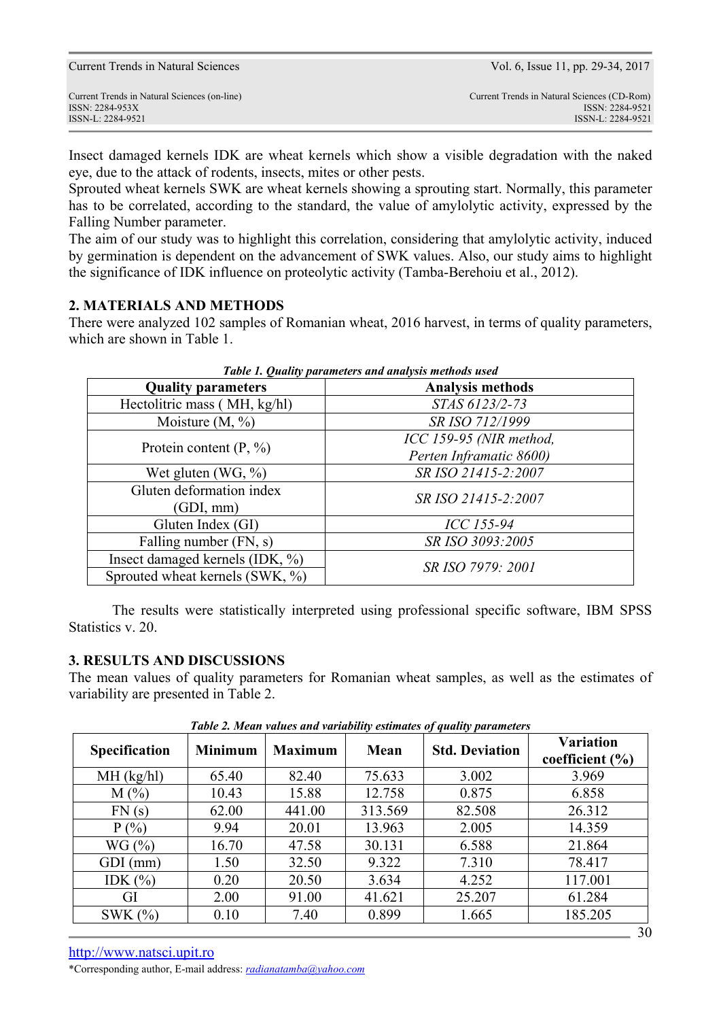Insect damaged kernels IDK are wheat kernels which show a visible degradation with the naked eye, due to the attack of rodents, insects, mites or other pests.

Sprouted wheat kernels SWK are wheat kernels showing a sprouting start. Normally, this parameter has to be correlated, according to the standard, the value of amylolytic activity, expressed by the Falling Number parameter.

The aim of our study was to highlight this correlation, considering that amylolytic activity, induced by germination is dependent on the advancement of SWK values. Also, our study aims to highlight the significance of IDK influence on proteolytic activity (Tamba-Berehoiu et al., 2012).

# **2. MATERIALS AND METHODS**

There were analyzed 102 samples of Romanian wheat, 2016 harvest, in terms of quality parameters, which are shown in Table 1.

| Table 1. Quality parameters and analysis methods used |                         |  |  |  |
|-------------------------------------------------------|-------------------------|--|--|--|
| <b>Quality parameters</b>                             | <b>Analysis methods</b> |  |  |  |
| Hectolitric mass (MH, kg/hl)                          | STAS 6123/2-73          |  |  |  |
| Moisture $(M, %)$                                     | SR ISO 712/1999         |  |  |  |
| Protein content $(P, %)$                              | ICC 159-95 (NIR method, |  |  |  |
|                                                       | Perten Inframatic 8600) |  |  |  |
| Wet gluten $(WG, %)$                                  | SR ISO 21415-2:2007     |  |  |  |
| Gluten deformation index                              | SR ISO 21415-2:2007     |  |  |  |
| (GDI, mm)                                             |                         |  |  |  |
| Gluten Index (GI)                                     | ICC 155-94              |  |  |  |
| Falling number (FN, s)                                | SR ISO 3093:2005        |  |  |  |
| Insect damaged kernels (IDK, %)                       | SR ISO 7979: 2001       |  |  |  |
| Sprouted wheat kernels (SWK, %)                       |                         |  |  |  |

*Table 1. Quality parameters and analysis methods used* 

The results were statistically interpreted using professional specific software, IBM SPSS Statistics v. 20.

## **3. RESULTS AND DISCUSSIONS**

The mean values of quality parameters for Romanian wheat samples, as well as the estimates of variability are presented in Table 2.

| <b>Specification</b> | <b>Minimum</b> | <b>Maximum</b> | Mean    | Tuble 2. Mean values and variablity estimates by quality parameters<br><b>Std. Deviation</b> | <b>Variation</b><br>coefficient $(\% )$ |  |
|----------------------|----------------|----------------|---------|----------------------------------------------------------------------------------------------|-----------------------------------------|--|
| $MH$ (kg/hl)         | 65.40          | 82.40          | 75.633  | 3.002                                                                                        | 3.969                                   |  |
| $M(\%)$              | 10.43          | 15.88          | 12.758  | 0.875                                                                                        | 6.858                                   |  |
| FN(s)                | 62.00          | 441.00         | 313.569 | 82.508                                                                                       | 26.312                                  |  |
| P(%)                 | 9.94           | 20.01          | 13.963  | 2.005                                                                                        | 14.359                                  |  |
| WG(%)                | 16.70          | 47.58          | 30.131  | 6.588                                                                                        | 21.864                                  |  |
| GDI (mm)             | 1.50           | 32.50          | 9.322   | 7.310                                                                                        | 78.417                                  |  |
| IDK $(\% )$          | 0.20           | 20.50          | 3.634   | 4.252                                                                                        | 117.001                                 |  |
| GI                   | 2.00           | 91.00          | 41.621  | 25.207                                                                                       | 61.284                                  |  |
| SWK $(%)$            | 0.10           | 7.40           | 0.899   | 1.665                                                                                        | 185.205                                 |  |

*Table 2. Mean values and variability estimates of quality parameters and in Table* 

\*Corresponding author, E-mail address: *radianatamba@yahoo.com*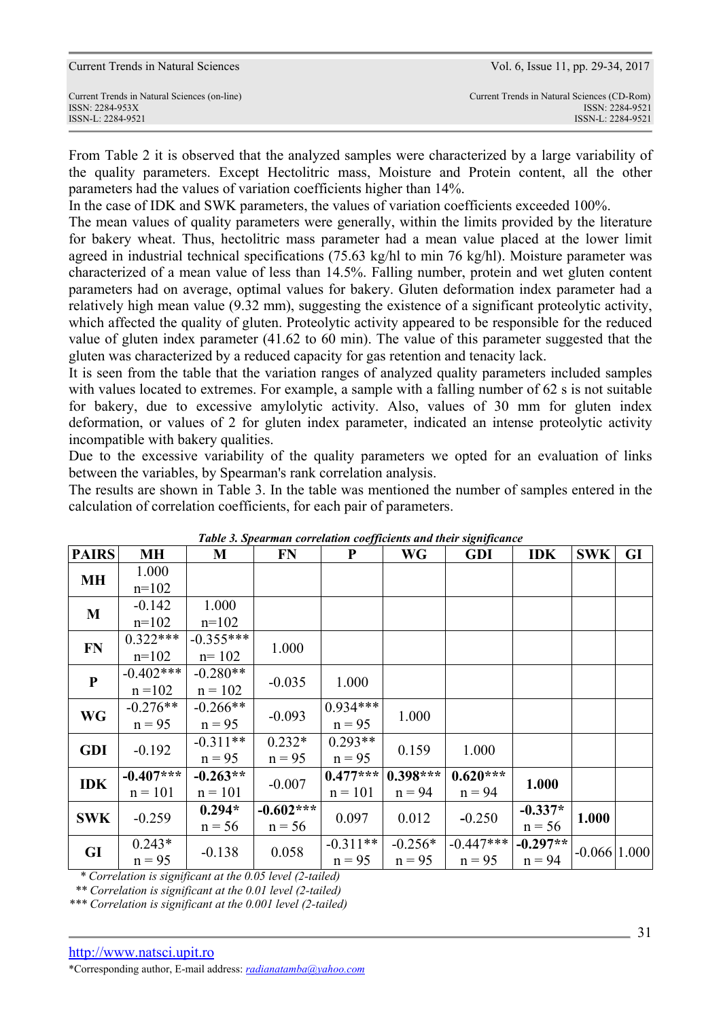Current Trends in Natural Sciences Vol. 6, Issue 11, pp. 29-34, 2017

From Table 2 it is observed that the analyzed samples were characterized by a large variability of the quality parameters. Except Hectolitric mass, Moisture and Protein content, all the other parameters had the values of variation coefficients higher than 14%.

In the case of IDK and SWK parameters, the values of variation coefficients exceeded 100%.

The mean values of quality parameters were generally, within the limits provided by the literature for bakery wheat. Thus, hectolitric mass parameter had a mean value placed at the lower limit agreed in industrial technical specifications (75.63 kg/hl to min 76 kg/hl). Moisture parameter was characterized of a mean value of less than 14.5%. Falling number, protein and wet gluten content parameters had on average, optimal values for bakery. Gluten deformation index parameter had a relatively high mean value (9.32 mm), suggesting the existence of a significant proteolytic activity, which affected the quality of gluten. Proteolytic activity appeared to be responsible for the reduced value of gluten index parameter (41.62 to 60 min). The value of this parameter suggested that the gluten was characterized by a reduced capacity for gas retention and tenacity lack.

It is seen from the table that the variation ranges of analyzed quality parameters included samples with values located to extremes. For example, a sample with a falling number of 62 s is not suitable for bakery, due to excessive amylolytic activity. Also, values of 30 mm for gluten index deformation, or values of 2 for gluten index parameter, indicated an intense proteolytic activity incompatible with bakery qualities.

Due to the excessive variability of the quality parameters we opted for an evaluation of links between the variables, by Spearman's rank correlation analysis.

The results are shown in Table 3. In the table was mentioned the number of samples entered in the calculation of correlation coefficients, for each pair of parameters.

| <b>PAIRS</b> | <b>MH</b>              | M           | <b>FN</b>   | ${\bf P}$  | <b>WG</b>  | таже э. эреатнан согтениюн соедисения ана теп мундиянсе<br><b>GDI</b> | <b>IDK</b> | <b>SWK</b>       | GI |
|--------------|------------------------|-------------|-------------|------------|------------|-----------------------------------------------------------------------|------------|------------------|----|
|              | 1.000                  |             |             |            |            |                                                                       |            |                  |    |
| MН           | $n=102$                |             |             |            |            |                                                                       |            |                  |    |
| M            | $-0.142$               | 1.000       |             |            |            |                                                                       |            |                  |    |
|              | $n=102$                | $n=102$     |             |            |            |                                                                       |            |                  |    |
| FN           | $0.322***$             | $-0.355***$ | 1.000       |            |            |                                                                       |            |                  |    |
|              | $n=102$                | $n = 102$   |             |            |            |                                                                       |            |                  |    |
| $\mathbf{P}$ | $-0.402***$            | $-0.280**$  | $-0.035$    | 1.000      |            |                                                                       |            |                  |    |
|              | $n = 102$              | $n = 102$   |             |            |            |                                                                       |            |                  |    |
| <b>WG</b>    | $-0.276**$             | $-0.266**$  | $-0.093$    | $0.934***$ | 1.000      |                                                                       |            |                  |    |
|              | $n = 95$               | $n = 95$    |             | $n = 95$   |            |                                                                       |            |                  |    |
|              | <b>GDI</b><br>$-0.192$ | $-0.311**$  | $0.232*$    | $0.293**$  | 0.159      | 1.000                                                                 |            |                  |    |
|              |                        | $n = 95$    | $n = 95$    | $n = 95$   |            |                                                                       |            |                  |    |
| <b>IDK</b>   | $-0.407***$            | $-0.263**$  | $-0.007$    | $0.477***$ | $0.398***$ | $0.620***$                                                            | 1.000      |                  |    |
|              | $n = 101$              | $n = 101$   |             | $n = 101$  | $n = 94$   | $n = 94$                                                              |            |                  |    |
| <b>SWK</b>   | $-0.259$               | $0.294*$    | $-0.602***$ | 0.097      | 0.012      | $-0.250$                                                              | $-0.337*$  | 1.000            |    |
|              |                        | $n = 56$    | $n = 56$    |            |            |                                                                       | $n = 56$   |                  |    |
| GI           | $0.243*$               | $-0.138$    | 0.058       | $-0.311**$ | $-0.256*$  | $-0.447***$                                                           | $-0.297**$ | $-0.066$   1.000 |    |
|              | $n = 95$               |             |             | $n = 95$   | $n = 95$   | $n = 95$<br>$n = 94$                                                  |            |                  |    |

*Table 3. Spearman correlation coefficients and their significance* 

 *\* Correlation is significant at the 0.05 level (2-tailed)* 

 *\*\* Correlation is significant at the 0.01 level (2-tailed)* 

*\*\*\* Correlation is significant at the 0.001 level (2-tailed)* 

\*Corresponding author, E-mail address: *radianatamba@yahoo.com*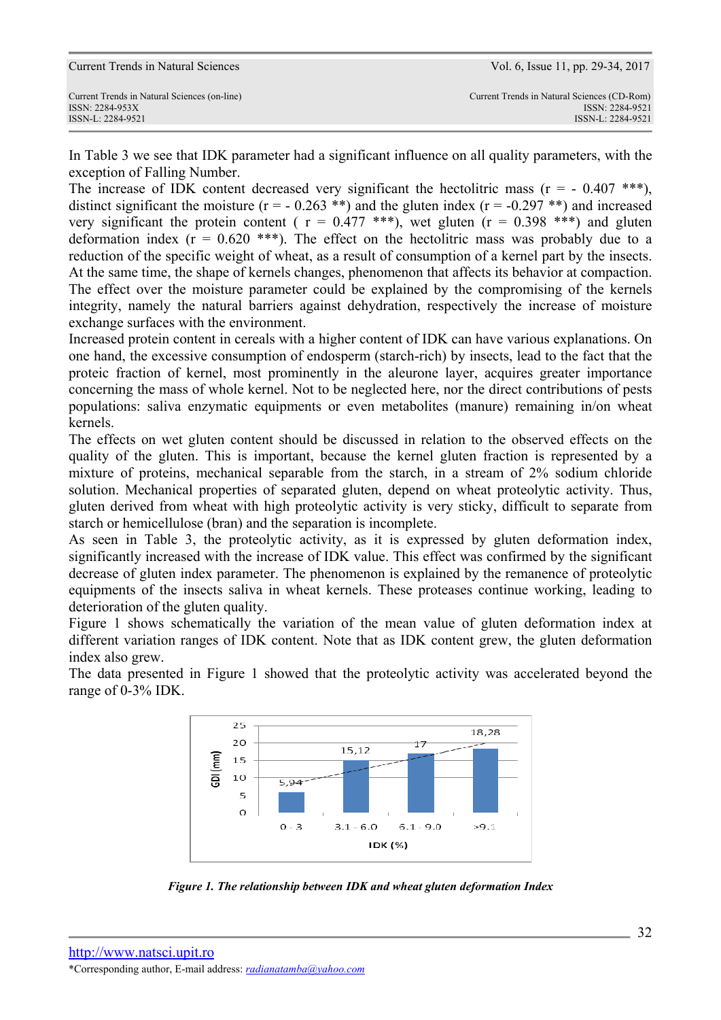In Table 3 we see that IDK parameter had a significant influence on all quality parameters, with the exception of Falling Number.

The increase of IDK content decreased very significant the hectolitric mass  $(r = -0.407 \cdot$ \*\*\*), distinct significant the moisture ( $r = -0.263$ \*\*) and the gluten index ( $r = -0.297$ \*\*) and increased very significant the protein content ( $r = 0.477$  \*\*\*), wet gluten ( $r = 0.398$  \*\*\*) and gluten deformation index  $(r = 0.620$  \*\*\*). The effect on the hectolitric mass was probably due to a reduction of the specific weight of wheat, as a result of consumption of a kernel part by the insects. At the same time, the shape of kernels changes, phenomenon that affects its behavior at compaction. The effect over the moisture parameter could be explained by the compromising of the kernels integrity, namely the natural barriers against dehydration, respectively the increase of moisture exchange surfaces with the environment.

Increased protein content in cereals with a higher content of IDK can have various explanations. On one hand, the excessive consumption of endosperm (starch-rich) by insects, lead to the fact that the proteic fraction of kernel, most prominently in the aleurone layer, acquires greater importance concerning the mass of whole kernel. Not to be neglected here, nor the direct contributions of pests populations: saliva enzymatic equipments or even metabolites (manure) remaining in/on wheat kernels.

The effects on wet gluten content should be discussed in relation to the observed effects on the quality of the gluten. This is important, because the kernel gluten fraction is represented by a mixture of proteins, mechanical separable from the starch, in a stream of 2% sodium chloride solution. Mechanical properties of separated gluten, depend on wheat proteolytic activity. Thus, gluten derived from wheat with high proteolytic activity is very sticky, difficult to separate from starch or hemicellulose (bran) and the separation is incomplete.

As seen in Table 3, the proteolytic activity, as it is expressed by gluten deformation index, significantly increased with the increase of IDK value. This effect was confirmed by the significant decrease of gluten index parameter. The phenomenon is explained by the remanence of proteolytic equipments of the insects saliva in wheat kernels. These proteases continue working, leading to deterioration of the gluten quality.

Figure 1 shows schematically the variation of the mean value of gluten deformation index at different variation ranges of IDK content. Note that as IDK content grew, the gluten deformation index also grew.

The data presented in Figure 1 showed that the proteolytic activity was accelerated beyond the range of 0-3% IDK.



*Figure 1. The relationship between IDK and wheat gluten deformation Index*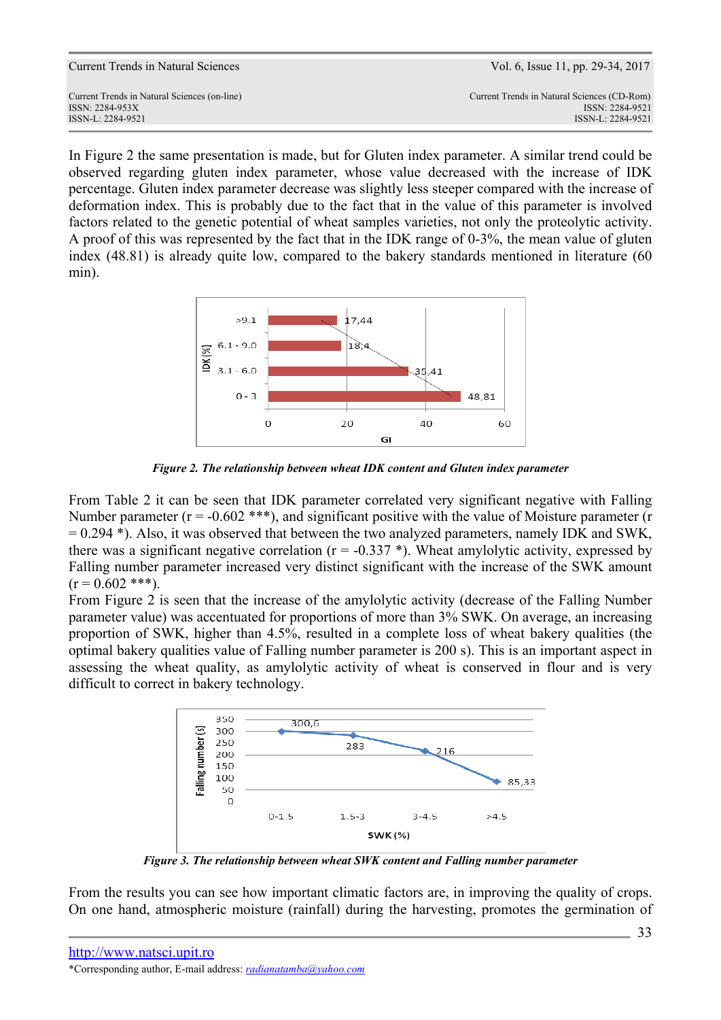| Current Trends in Natural Sciences           | Vol. 6, Issue 11, pp. 29-34, 2017           |
|----------------------------------------------|---------------------------------------------|
| Current Trends in Natural Sciences (on-line) | Current Trends in Natural Sciences (CD-Rom) |
| ISSN: 2284-953X                              | ISSN: 2284-9521                             |
| ISSN-L: 2284-9521                            | ISSN-L: 2284-9521                           |

In Figure 2 the same presentation is made, but for Gluten index parameter. A similar trend could be observed regarding gluten index parameter, whose value decreased with the increase of IDK percentage. Gluten index parameter decrease was slightly less steeper compared with the increase of deformation index. This is probably due to the fact that in the value of this parameter is involved factors related to the genetic potential of wheat samples varieties, not only the proteolytic activity. A proof of this was represented by the fact that in the IDK range of 0-3%, the mean value of gluten index (48.81) is already quite low, compared to the bakery standards mentioned in literature (60 min).



*Figure 2. The relationship between wheat IDK content and Gluten index parameter* 

From Table 2 it can be seen that IDK parameter correlated very significant negative with Falling Number parameter ( $r = -0.602$  \*\*\*), and significant positive with the value of Moisture parameter ( $r =$  $= 0.294$  \*). Also, it was observed that between the two analyzed parameters, namely IDK and SWK, there was a significant negative correlation ( $r = -0.337$ ). Wheat amylolytic activity, expressed by Falling number parameter increased very distinct significant with the increase of the SWK amount  $(r = 0.602$ \*\*\*).

From Figure 2 is seen that the increase of the amylolytic activity (decrease of the Falling Number parameter value) was accentuated for proportions of more than 3% SWK. On average, an increasing proportion of SWK, higher than 4.5%, resulted in a complete loss of wheat bakery qualities (the optimal bakery qualities value of Falling number parameter is 200 s). This is an important aspect in assessing the wheat quality, as amylolytic activity of wheat is conserved in flour and is very difficult to correct in bakery technology.



*Figure 3. The relationship between wheat SWK content and Falling number parameter* 

From the results you can see how important climatic factors are, in improving the quality of crops. On one hand, atmospheric moisture (rainfall) during the harvesting, promotes the germination of